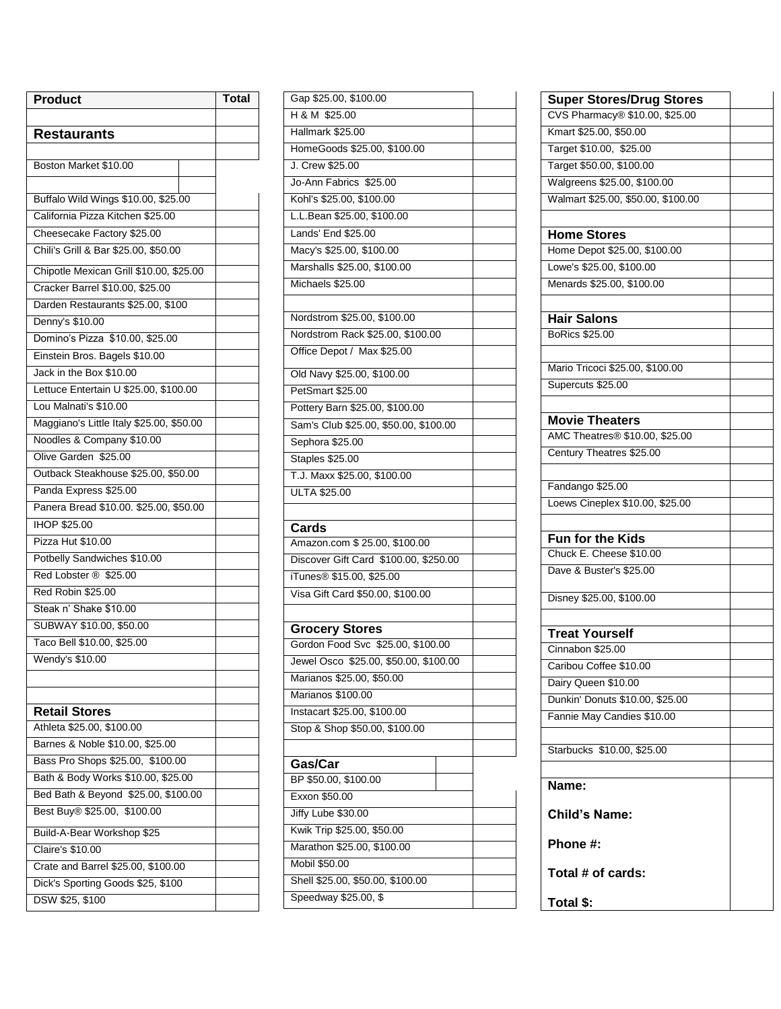| <b>Product</b>                                                     | <b>Total</b> |
|--------------------------------------------------------------------|--------------|
|                                                                    |              |
| <b>Restaurants</b>                                                 |              |
| Boston Market \$10.00                                              |              |
|                                                                    |              |
| Buffalo Wild Wings \$10.00, \$25.00                                |              |
| California Pizza Kitchen \$25.00                                   |              |
| Cheesecake Factory \$25.00                                         |              |
| Chili's Grill & Bar \$25.00, \$50.00                               |              |
| Chipotle Mexican Grill \$10.00, \$25.00                            |              |
| Cracker Barrel \$10.00, \$25.00                                    |              |
| Darden Restaurants \$25.00, \$100                                  |              |
| Denny's \$10.00                                                    |              |
| Domino's Pizza \$10.00, \$25.00                                    |              |
| Einstein Bros. Bagels \$10.00                                      |              |
| Jack in the Box \$10.00                                            |              |
| Lettuce Entertain U \$25.00, \$100.00                              |              |
| Lou Malnati's \$10.00                                              |              |
| Maggiano's Little Italy \$25.00, \$50.00                           |              |
| Noodles & Company \$10.00                                          |              |
| Olive Garden \$25.00                                               |              |
| Outback Steakhouse \$25.00, \$50.00                                |              |
| Panda Express \$25.00                                              |              |
| Panera Bread \$10.00. \$25.00, \$50.00                             |              |
| IHOP \$25.00                                                       |              |
| Pizza Hut \$10.00                                                  |              |
| Potbelly Sandwiches \$10.00                                        |              |
| Red Lobster ® \$25.00                                              |              |
| Red Robin \$25.00                                                  |              |
| Steak n' Shake \$10.00                                             |              |
| SUBWAY \$10.00, \$50.00                                            |              |
| Taco Bell \$10.00, \$25.00                                         |              |
| Wendy's \$10.00                                                    |              |
|                                                                    |              |
|                                                                    |              |
| <b>Retail Stores</b>                                               |              |
| Athleta \$25.00, \$100.00                                          |              |
| Barnes & Noble \$10.00, \$25.00                                    |              |
| Bass Pro Shops \$25.00, \$100.00                                   |              |
| Bath & Body Works \$10.00, \$25.00                                 |              |
| Bed Bath & Beyond \$25.00, \$100.00<br>Best Buy® \$25.00, \$100.00 |              |
|                                                                    |              |
| Build-A-Bear Workshop \$25                                         |              |
| <b>Claire's \$10.00</b><br>Crate and Barrel \$25.00, \$100.00      |              |
| Dick's Sporting Goods \$25, \$100                                  |              |
| DSW \$25, \$100                                                    |              |
|                                                                    |              |

| Gap \$25.00, \$100.00                 |  |
|---------------------------------------|--|
| H & M \$25.00                         |  |
| Hallmark \$25.00                      |  |
| HomeGoods \$25.00, \$100.00           |  |
| J. Crew \$25.00                       |  |
| Jo-Ann Fabrics \$25.00                |  |
| Kohl's \$25.00, \$100.00              |  |
| L.L.Bean \$25.00, \$100.00            |  |
| Lands' End \$25.00                    |  |
| Macy's \$25.00, \$100.00              |  |
| Marshalls \$25.00, \$100.00           |  |
| Michaels \$25.00                      |  |
|                                       |  |
| Nordstrom \$25.00, \$100.00           |  |
| Nordstrom Rack \$25.00, \$100.00      |  |
| Office Depot / Max \$25.00            |  |
|                                       |  |
| Old Navy \$25.00, \$100.00            |  |
| PetSmart \$25.00                      |  |
| Pottery Barn \$25.00, \$100.00        |  |
| Sam's Club \$25.00, \$50.00, \$100.00 |  |
| Sephora \$25.00                       |  |
| <b>Staples \$25.00</b>                |  |
| T.J. Maxx \$25.00, \$100.00           |  |
| <b>ULTA \$25.00</b>                   |  |
|                                       |  |
|                                       |  |
| Cards                                 |  |
| Amazon.com \$25.00, \$100.00          |  |
| Discover Gift Card \$100.00, \$250.00 |  |
| iTunes <sup>®</sup> \$15.00, \$25.00  |  |
| Visa Gift Card \$50.00, \$100.00      |  |
|                                       |  |
| <b>Grocery Stores</b>                 |  |
| Gordon Food Svc \$25.00, \$100.00     |  |
| Jewel Osco \$25.00, \$50.00, \$100.00 |  |
| Marianos \$25.00, \$50.00             |  |
| Marianos \$100.00                     |  |
| Instacart \$25.00, \$100.00           |  |
| Stop & Shop \$50.00, \$100.00         |  |
|                                       |  |
|                                       |  |
| Gas/Car<br>BP \$50.00, \$100.00       |  |
| Exxon \$50.00                         |  |
| Jiffy Lube \$30.00                    |  |
| Kwik Trip \$25.00, \$50.00            |  |
| Marathon \$25.00, \$100.00            |  |
| Mobil \$50.00                         |  |
| Shell \$25.00, \$50.00, \$100.00      |  |
| Speedway \$25.00, \$                  |  |

| <b>Super Stores/Drug Stores</b>    |  |
|------------------------------------|--|
| CVS Pharmacy® \$10.00, \$25.00     |  |
| Kmart \$25.00, \$50.00             |  |
| Target \$10.00, \$25.00            |  |
| Target \$50.00, \$100.00           |  |
| Walgreens \$25.00, \$100.00        |  |
| Walmart \$25.00, \$50.00, \$100.00 |  |
|                                    |  |
| <b>Home Stores</b>                 |  |
| Home Depot \$25.00, \$100.00       |  |
| Lowe's \$25.00, \$100.00           |  |
| Menards \$25.00, \$100.00          |  |
|                                    |  |
| <b>Hair Salons</b>                 |  |
| BoRics \$25.00                     |  |
|                                    |  |
| Mario Tricoci \$25.00, \$100.00    |  |
| Supercuts \$25.00                  |  |
|                                    |  |
| <b>Movie Theaters</b>              |  |
| AMC Theatres® \$10.00, \$25.00     |  |
| Century Theatres \$25.00           |  |
|                                    |  |
| Fandango \$25.00                   |  |
| Loews Cineplex \$10.00, \$25.00    |  |
|                                    |  |
| Fun for the Kids                   |  |
| Chuck E. Cheese \$10.00            |  |
| Dave & Buster's \$25.00            |  |
|                                    |  |
| Disney \$25.00, \$100.00           |  |
|                                    |  |
| <b>Treat Yourself</b>              |  |
| Cinnabon \$25.00                   |  |
| Caribou Coffee \$10.00             |  |
| Dairy Queen \$10.00                |  |
| Dunkin' Donuts \$10.00, \$25.00    |  |
| Fannie May Candies \$10.00         |  |
|                                    |  |
| Starbucks \$10.00, \$25.00         |  |
|                                    |  |
| Name:                              |  |
|                                    |  |
| Child's Name:                      |  |
|                                    |  |
| Phone #:                           |  |
|                                    |  |
| Total # of cards:                  |  |
| Total \$:                          |  |